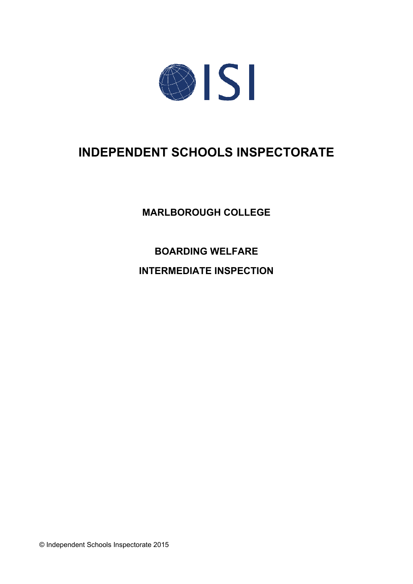

# **INDEPENDENT SCHOOLS INSPECTORATE**

**MARLBOROUGH COLLEGE** 

**BOARDING WELFARE** 

**INTERMEDIATE INSPECTION** 

© Independent Schools Inspectorate 2015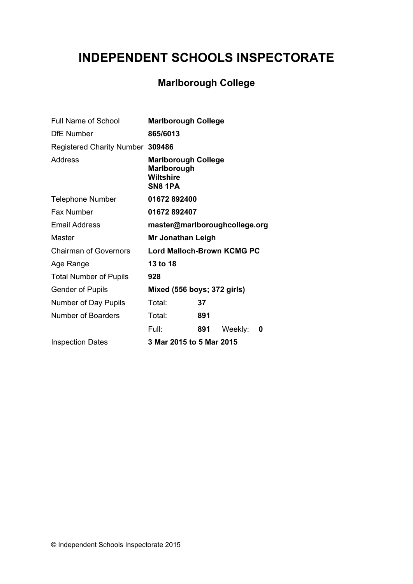# **INDEPENDENT SCHOOLS INSPECTORATE**

# **Marlborough College**

| Full Name of School              | <b>Marlborough College</b>                                               |     |         |   |
|----------------------------------|--------------------------------------------------------------------------|-----|---------|---|
| <b>DfE</b> Number                | 865/6013                                                                 |     |         |   |
| Registered Charity Number 309486 |                                                                          |     |         |   |
| Address                          | <b>Marlborough College</b><br>Marlborough<br><b>Wiltshire</b><br>SN8 1PA |     |         |   |
| <b>Telephone Number</b>          | 01672892400                                                              |     |         |   |
| <b>Fax Number</b>                | 01672892407                                                              |     |         |   |
| <b>Email Address</b>             | master@marlboroughcollege.org                                            |     |         |   |
| Master                           | Mr Jonathan Leigh                                                        |     |         |   |
| <b>Chairman of Governors</b>     | <b>Lord Malloch-Brown KCMG PC</b>                                        |     |         |   |
| Age Range                        | 13 to 18                                                                 |     |         |   |
| <b>Total Number of Pupils</b>    | 928                                                                      |     |         |   |
| <b>Gender of Pupils</b>          | Mixed (556 boys; 372 girls)                                              |     |         |   |
| Number of Day Pupils             | Total:                                                                   | 37  |         |   |
| <b>Number of Boarders</b>        | Total:                                                                   | 891 |         |   |
|                                  | Full:                                                                    | 891 | Weekly: | 0 |
| <b>Inspection Dates</b>          | 3 Mar 2015 to 5 Mar 2015                                                 |     |         |   |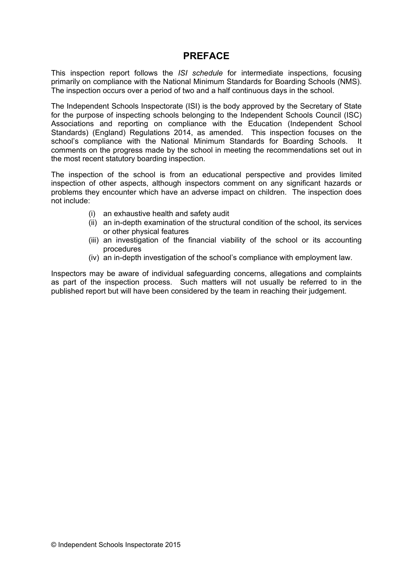# **PREFACE**

This inspection report follows the ISI schedule for intermediate inspections, focusing primarily on compliance with the National Minimum Standards for Boarding Schools (NMS). The inspection occurs over a period of two and a half continuous days in the school.

The Independent Schools Inspectorate (ISI) is the body approved by the Secretary of State for the purpose of inspecting schools belonging to the Independent Schools Council (ISC) Associations and reporting on compliance with the Education (Independent School Standards) (England) Regulations 2014, as amended. This inspection focuses on the school's compliance with the National Minimum Standards for Boarding Schools. -lt comments on the progress made by the school in meeting the recommendations set out in the most recent statutory boarding inspection.

The inspection of the school is from an educational perspective and provides limited inspection of other aspects, although inspectors comment on any significant hazards or problems they encounter which have an adverse impact on children. The inspection does not include:

- (i) an exhaustive health and safety audit
- (ii) an in-depth examination of the structural condition of the school, its services or other physical features
- (iii) an investigation of the financial viability of the school or its accounting procedures
- (iv) an in-depth investigation of the school's compliance with employment law.

Inspectors may be aware of individual safeguarding concerns, allegations and complaints as part of the inspection process. Such matters will not usually be referred to in the published report but will have been considered by the team in reaching their judgement.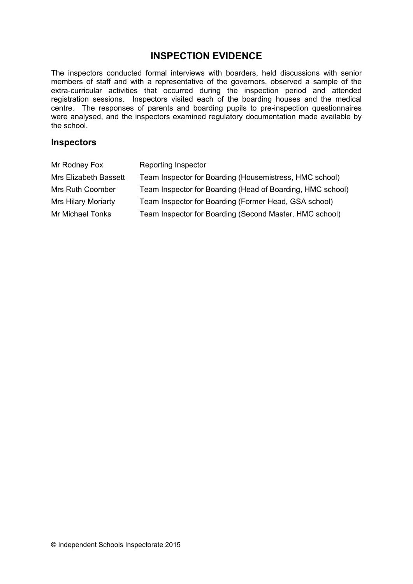# **INSPECTION EVIDENCE**

The inspectors conducted formal interviews with boarders, held discussions with senior members of staff and with a representative of the governors, observed a sample of the extra-curricular activities that occurred during the inspection period and attended registration sessions. Inspectors visited each of the boarding houses and the medical centre. The responses of parents and boarding pupils to pre-inspection questionnaires were analysed, and the inspectors examined regulatory documentation made available by the school.

## **Inspectors**

| Mr Rodney Fox              | Reporting Inspector                                        |
|----------------------------|------------------------------------------------------------|
| Mrs Elizabeth Bassett      | Team Inspector for Boarding (Housemistress, HMC school)    |
| <b>Mrs Ruth Coomber</b>    | Team Inspector for Boarding (Head of Boarding, HMC school) |
| <b>Mrs Hilary Moriarty</b> | Team Inspector for Boarding (Former Head, GSA school)      |
| Mr Michael Tonks           | Team Inspector for Boarding (Second Master, HMC school)    |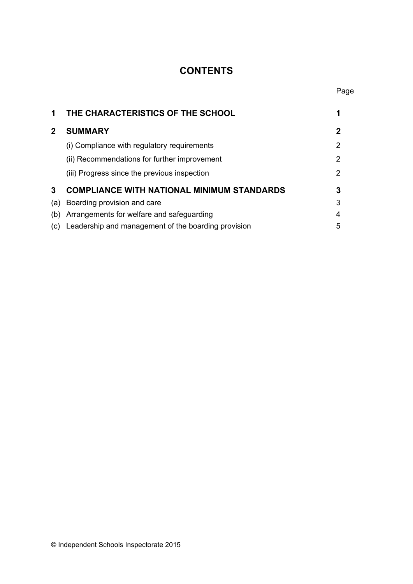# **CONTENTS**

Page

| 1            | THE CHARACTERISTICS OF THE SCHOOL                   |   |
|--------------|-----------------------------------------------------|---|
| $\mathbf{2}$ | <b>SUMMARY</b>                                      | 2 |
|              | (i) Compliance with regulatory requirements         | 2 |
|              | (ii) Recommendations for further improvement        | 2 |
|              | (iii) Progress since the previous inspection        | 2 |
| 3            | <b>COMPLIANCE WITH NATIONAL MINIMUM STANDARDS</b>   | 3 |
| (a)          | Boarding provision and care                         | 3 |
| (b)          | Arrangements for welfare and safeguarding           | 4 |
| (C)          | Leadership and management of the boarding provision | 5 |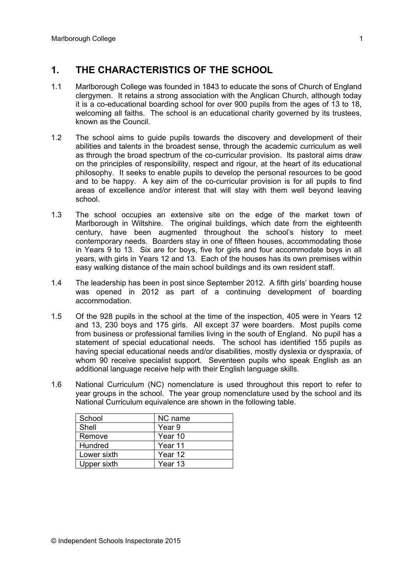#### $1<sub>1</sub>$ THE CHARACTERISTICS OF THE SCHOOL

- $1.1$ Marlborough College was founded in 1843 to educate the sons of Church of England clergymen. It retains a strong association with the Anglican Church, although today it is a co-educational boarding school for over 900 pupils from the ages of 13 to 18. welcoming all faiths. The school is an educational charity governed by its trustees, known as the Council.
- $1.2$ The school aims to quide pupils towards the discovery and development of their abilities and talents in the broadest sense, through the academic curriculum as well as through the broad spectrum of the co-curricular provision. Its pastoral aims draw on the principles of responsibility, respect and rigour, at the heart of its educational philosophy. It seeks to enable pupils to develop the personal resources to be good and to be happy. A key aim of the co-curricular provision is for all pupils to find areas of excellence and/or interest that will stay with them well beyond leaving school
- $1.3$ The school occupies an extensive site on the edge of the market town of Marlborough in Wiltshire. The original buildings, which date from the eighteenth century, have been augmented throughout the school's history to meet contemporary needs. Boarders stay in one of fifteen houses, accommodating those in Years 9 to 13. Six are for boys, five for girls and four accommodate boys in all vears, with girls in Years 12 and 13. Each of the houses has its own premises within easy walking distance of the main school buildings and its own resident staff.
- $14$ The leadership has been in post since September 2012. A fifth girls' boarding house was opened in 2012 as part of a continuing development of boarding accommodation.
- $15$ Of the 928 pupils in the school at the time of the inspection. 405 were in Years 12 and 13, 230 boys and 175 girls. All except 37 were boarders. Most pupils come from business or professional families living in the south of England. No pupil has a statement of special educational needs. The school has identified 155 pupils as having special educational needs and/or disabilities, mostly dyslexia or dyspraxia, of whom 90 receive specialist support. Seventeen pupils who speak English as an additional language receive help with their English language skills.
- $1.6$ National Curriculum (NC) nomenclature is used throughout this report to refer to year groups in the school. The year group nomenclature used by the school and its National Curriculum equivalence are shown in the following table.

| School      | NC name |
|-------------|---------|
| Shell       | Year 9  |
| Remove      | Year 10 |
| Hundred     | Year 11 |
| Lower sixth | Year 12 |
| Upper sixth | Year 13 |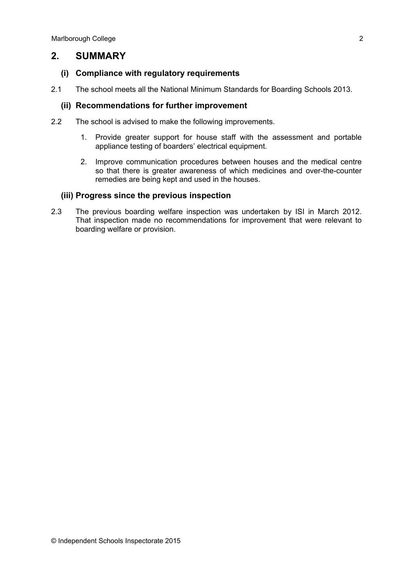#### $2<sub>1</sub>$ **SUMMARY**

### (i) Compliance with regulatory requirements

 $21$ The school meets all the National Minimum Standards for Boarding Schools 2013.

### (ii) Recommendations for further improvement

- $2.2$ The school is advised to make the following improvements.
	- 1. Provide greater support for house staff with the assessment and portable appliance testing of boarders' electrical equipment.
	- 2. Improve communication procedures between houses and the medical centre so that there is greater awareness of which medicines and over-the-counter remedies are being kept and used in the houses.

### (iii) Progress since the previous inspection

 $2.3$ The previous boarding welfare inspection was undertaken by ISI in March 2012. That inspection made no recommendations for improvement that were relevant to boarding welfare or provision.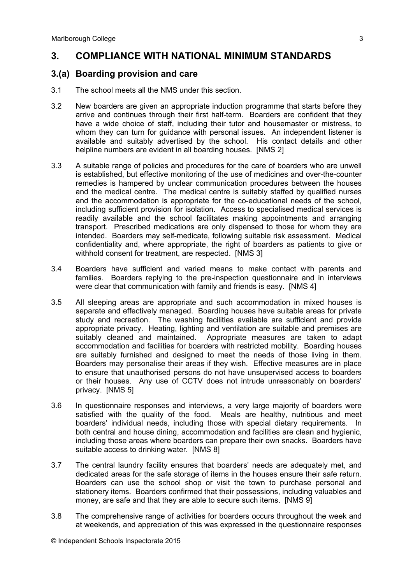#### **COMPLIANCE WITH NATIONAL MINIMUM STANDARDS**  $3<sub>l</sub>$

## 3.(a) Boarding provision and care

- $3.1$ The school meets all the NMS under this section.
- $3.2$ New boarders are given an appropriate induction programme that starts before they arrive and continues through their first half-term. Boarders are confident that they have a wide choice of staff, including their tutor and housemaster or mistress, to whom they can turn for guidance with personal issues. An independent listener is available and suitably advertised by the school. His contact details and other helpline numbers are evident in all boarding houses. [NMS 2]
- $3.3$ A suitable range of policies and procedures for the care of boarders who are unwell is established, but effective monitoring of the use of medicines and over-the-counter remedies is hampered by unclear communication procedures between the houses and the medical centre. The medical centre is suitably staffed by qualified nurses and the accommodation is appropriate for the co-educational needs of the school, including sufficient provision for isolation. Access to specialised medical services is readily available and the school facilitates making appointments and arranging transport. Prescribed medications are only dispensed to those for whom they are intended. Boarders may self-medicate, following suitable risk assessment. Medical confidentiality and, where appropriate, the right of boarders as patients to give or withhold consent for treatment, are respected. [NMS 3]
- $3.4$ Boarders have sufficient and varied means to make contact with parents and families. Boarders replying to the pre-inspection questionnaire and in interviews were clear that communication with family and friends is easy. [NMS 4]
- $3.5$ All sleeping areas are appropriate and such accommodation in mixed houses is separate and effectively managed. Boarding houses have suitable areas for private study and recreation. The washing facilities available are sufficient and provide appropriate privacy. Heating, lighting and ventilation are suitable and premises are suitably cleaned and maintained. Appropriate measures are taken to adapt accommodation and facilities for boarders with restricted mobility. Boarding houses are suitably furnished and designed to meet the needs of those living in them. Boarders may personalise their areas if they wish. Effective measures are in place to ensure that unauthorised persons do not have unsupervised access to boarders or their houses. Any use of CCTV does not intrude unreasonably on boarders' privacy. [NMS 5]
- $3.6$ In questionnaire responses and interviews, a very large majority of boarders were satisfied with the quality of the food. Meals are healthy, nutritious and meet boarders' individual needs, including those with special dietary requirements. In both central and house dining, accommodation and facilities are clean and hygienic. including those areas where boarders can prepare their own snacks. Boarders have suitable access to drinking water. [NMS 8]
- $3.7$ The central laundry facility ensures that boarders' needs are adequately met, and dedicated areas for the safe storage of items in the houses ensure their safe return. Boarders can use the school shop or visit the town to purchase personal and stationery items. Boarders confirmed that their possessions, including valuables and money, are safe and that they are able to secure such items. [NMS 9]
- $3.8$ The comprehensive range of activities for boarders occurs throughout the week and at weekends, and appreciation of this was expressed in the questionnaire responses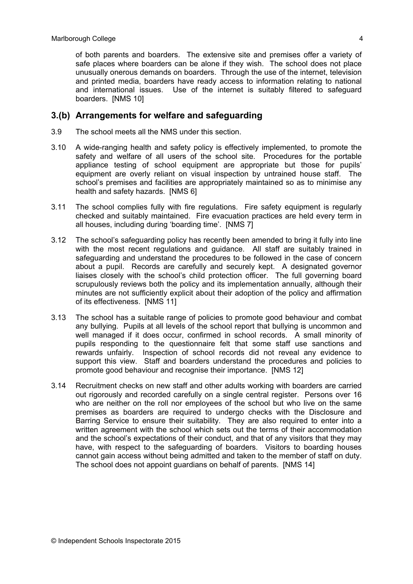of both parents and boarders. The extensive site and premises offer a variety of safe places where boarders can be alone if they wish. The school does not place unusually onerous demands on boarders. Through the use of the internet, television and printed media, boarders have ready access to information relating to national and international issues. Use of the internet is suitably filtered to safeguard boarders. [NMS 10]

## 3.(b) Arrangements for welfare and safeguarding

- $3.9$ The school meets all the NMS under this section.
- $3.10$ A wide-ranging health and safety policy is effectively implemented, to promote the safety and welfare of all users of the school site. Procedures for the portable appliance testing of school equipment are appropriate but those for pupils' equipment are overly reliant on visual inspection by untrained house staff. The school's premises and facilities are appropriately maintained so as to minimise any health and safety hazards. [NMS 6]
- $3.11$ The school complies fully with fire regulations. Fire safety equipment is regularly checked and suitably maintained. Fire evacuation practices are held every term in all houses, including during 'boarding time'. [NMS 7]
- $3.12$ The school's safeguarding policy has recently been amended to bring it fully into line with the most recent regulations and quidance. All staff are suitably trained in safequarding and understand the procedures to be followed in the case of concern about a pupil. Records are carefully and securely kept. A designated governor liaises closely with the school's child protection officer. The full governing board scrupulously reviews both the policy and its implementation annually, although their minutes are not sufficiently explicit about their adoption of the policy and affirmation of its effectiveness. [NMS 11]
- $3.13$ The school has a suitable range of policies to promote good behaviour and combat any bullying. Pupils at all levels of the school report that bullying is uncommon and well managed if it does occur, confirmed in school records. A small minority of pupils responding to the questionnaire felt that some staff use sanctions and rewards unfairly. Inspection of school records did not reveal any evidence to support this view. Staff and boarders understand the procedures and policies to promote good behaviour and recognise their importance. [NMS 12]
- $3.14$ Recruitment checks on new staff and other adults working with boarders are carried out rigorously and recorded carefully on a single central register. Persons over 16 who are neither on the roll nor employees of the school but who live on the same premises as boarders are required to undergo checks with the Disclosure and Barring Service to ensure their suitability. They are also required to enter into a written agreement with the school which sets out the terms of their accommodation and the school's expectations of their conduct, and that of any visitors that they may have, with respect to the safeguarding of boarders. Visitors to boarding houses cannot gain access without being admitted and taken to the member of staff on duty. The school does not appoint guardians on behalf of parents. [NMS 14]